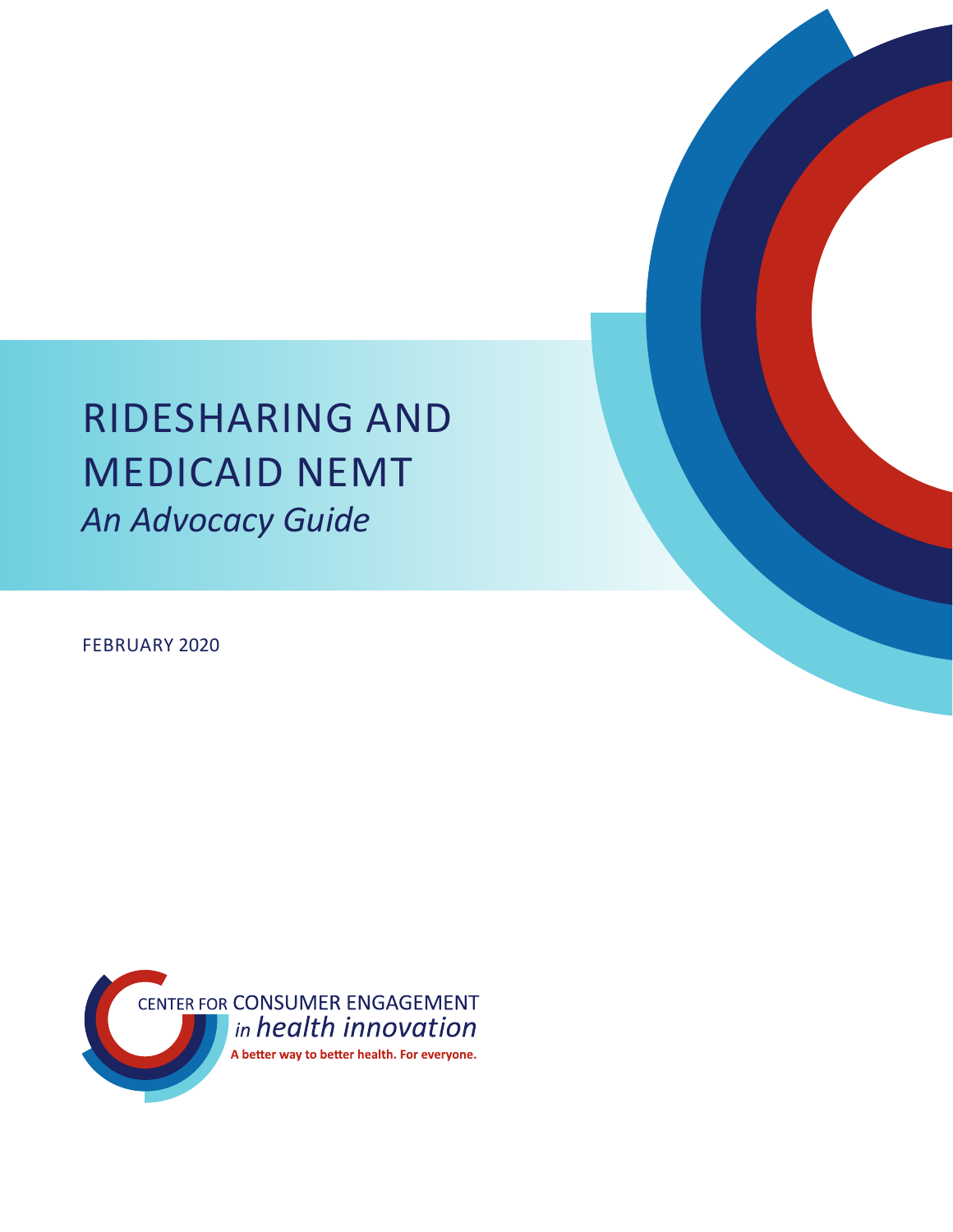# RIDESHARING AND MEDICAID NEMT *An Advocacy Guide*

FEBRUARY 2020

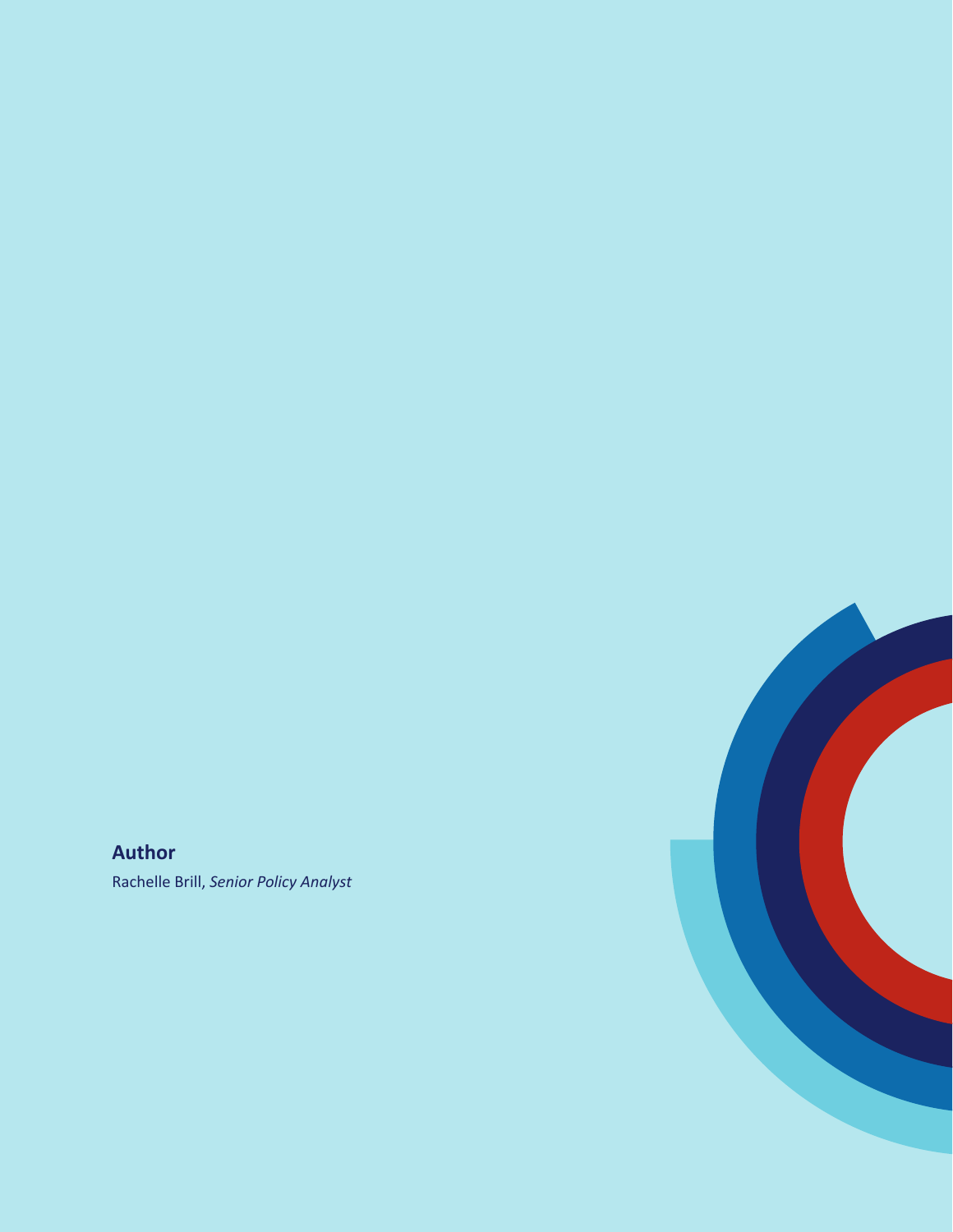### **Author**

Rachelle Brill, *Senior Policy Analyst*

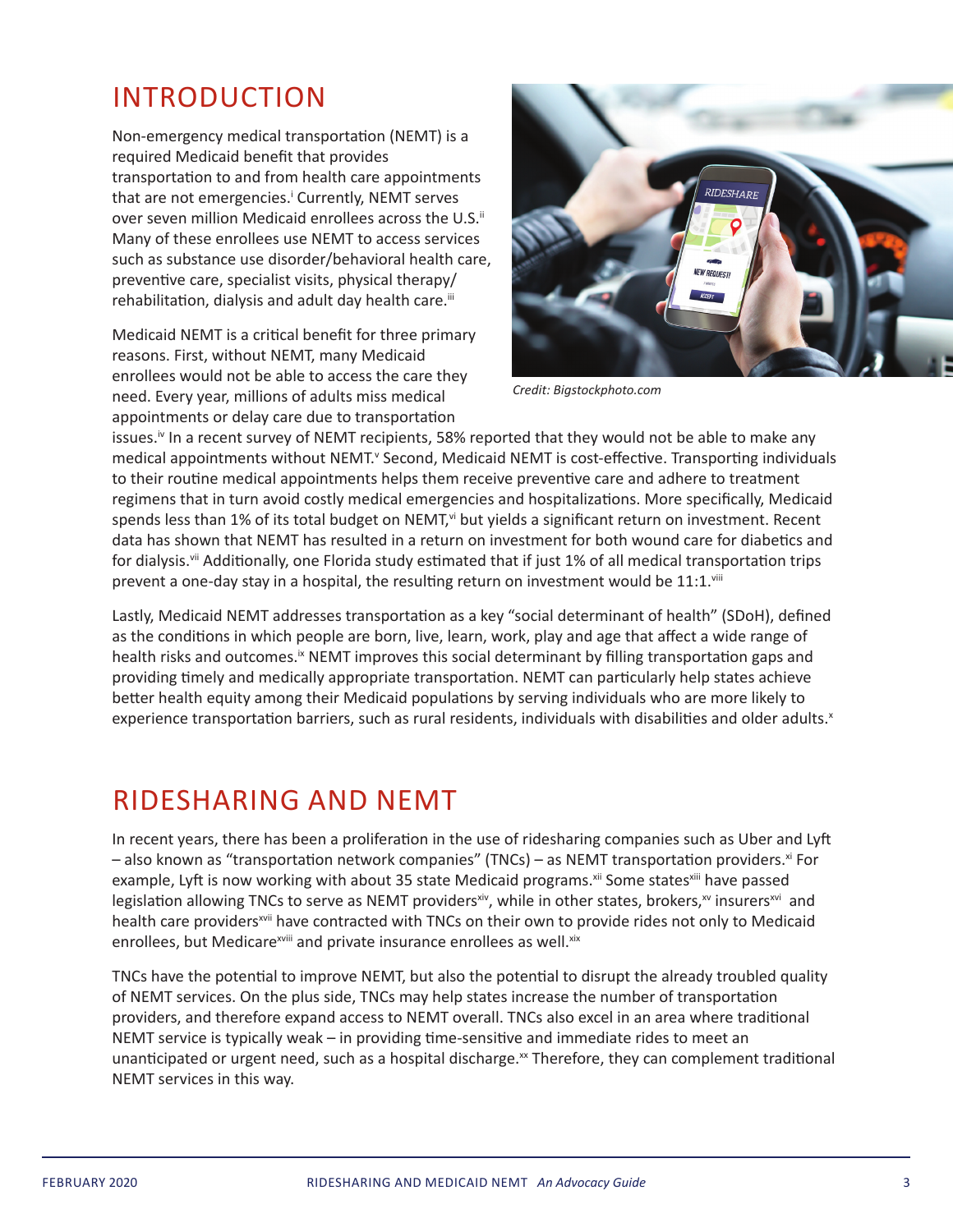## INTRODUCTION

Non-emergency medical transportation (NEMT) is a required Medicaid benefit that provides transportation to and from health care appointments that are not emergencies.<sup>i</sup> Currently, NEMT serves over seven million Medicaid enrollees across the U.S.<sup>ii</sup> Many of these enrollees use NEMT to access services such as substance use disorder/behavioral health care, preventive care, specialist visits, physical therapy/ rehabilitation, dialysis and adult day health care.<sup>iii</sup>

Medicaid NEMT is a critical benefit for three primary reasons. First, without NEMT, many Medicaid enrollees would not be able to access the care they need. Every year, millions of adults miss medical appointments or delay care due to transportation



*Credit: Bigstockphoto.com*

issues.<sup>iv</sup> In a recent survey of NEMT recipients, 58% reported that they would not be able to make any medical appointments without NEMT.<sup>v</sup> Second, Medicaid NEMT is cost-effective. Transporting individuals to their routine medical appointments helps them receive preventive care and adhere to treatment regimens that in turn avoid costly medical emergencies and hospitalizations. More specifically, Medicaid spends less than 1% of its total budget on NEMT,<sup>vi</sup> but yields a significant return on investment. Recent data has shown that NEMT has resulted in a return on investment for both wound care for diabetics and for dialysis.<sup>vii</sup> Additionally, one Florida study estimated that if just 1% of all medical transportation trips prevent a one-day stay in a hospital, the resulting return on investment would be 11:1.<sup>viii</sup>

Lastly, Medicaid NEMT addresses transportation as a key "social determinant of health" (SDoH), defined as the conditions in which people are born, live, learn, work, play and age that affect a wide range of health risks and outcomes.<sup>ix</sup> NEMT improves this social determinant by filling transportation gaps and providing timely and medically appropriate transportation. NEMT can particularly help states achieve better health equity among their Medicaid populations by serving individuals who are more likely to experience transportation barriers, such as rural residents, individuals with disabilities and older adults.<sup>x</sup>

### RIDESHARING AND NEMT

In recent years, there has been a proliferation in the use of ridesharing companies such as Uber and Lyft  $-$  also known as "transportation network companies" (TNCs) – as NEMT transportation providers.<sup>xi</sup> For example, Lyft is now working with about 35 state Medicaid programs.<sup>xii</sup> Some states<sup>xiii</sup> have passed legislation allowing TNCs to serve as NEMT providers<sup>xiv</sup>, while in other states, brokers,<sup>xv</sup> insurers<sup>xvi</sup> and health care providers<sup>xvii</sup> have contracted with TNCs on their own to provide rides not only to Medicaid enrollees, but Medicare<sup>xviii</sup> and private insurance enrollees as well.xix

TNCs have the potential to improve NEMT, but also the potential to disrupt the already troubled quality of NEMT services. On the plus side, TNCs may help states increase the number of transportation providers, and therefore expand access to NEMT overall. TNCs also excel in an area where traditional NEMT service is typically weak – in providing time-sensitive and immediate rides to meet an unanticipated or urgent need, such as a hospital discharge.<sup>xx</sup> Therefore, they can complement traditional NEMT services in this way.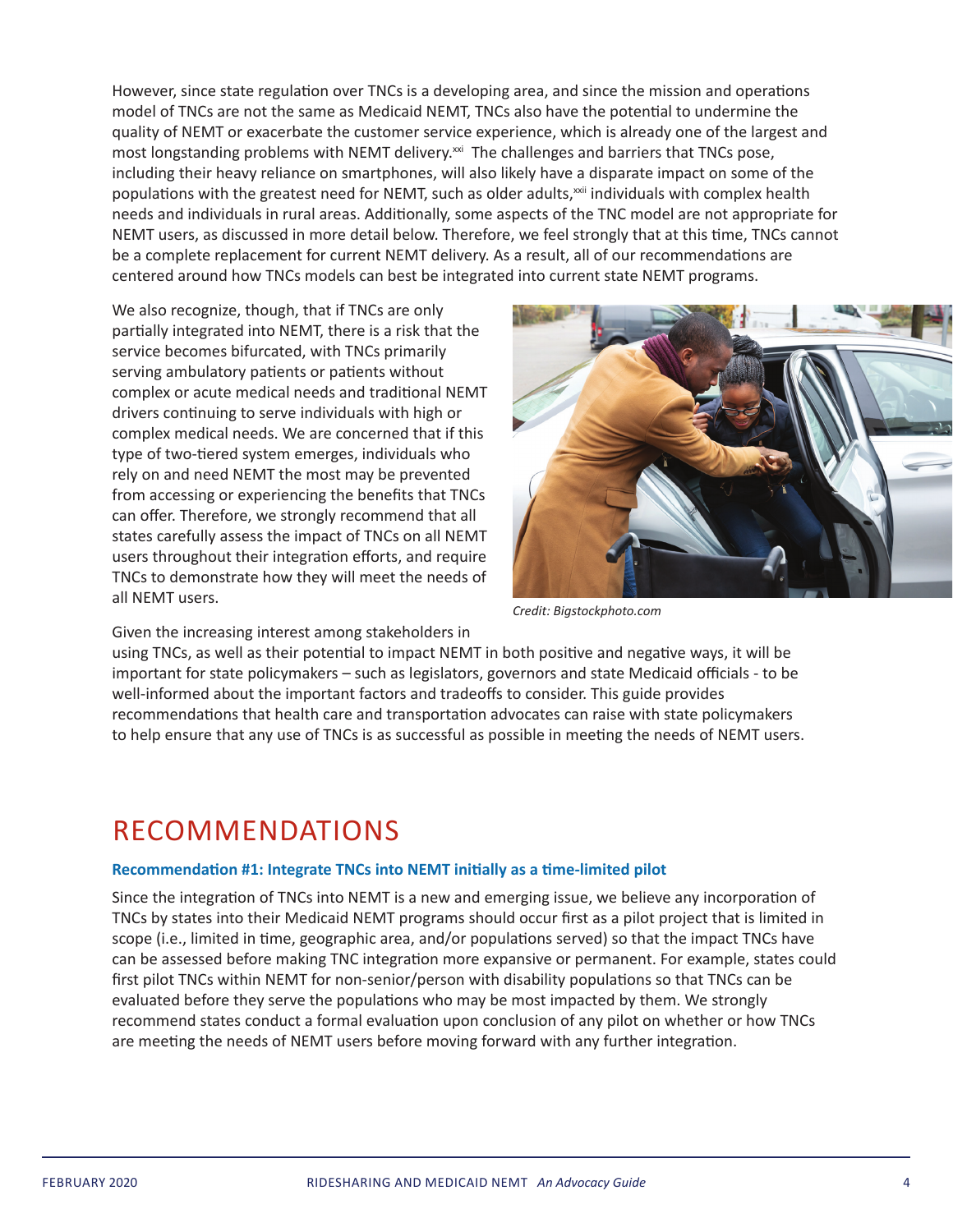However, since state regulation over TNCs is a developing area, and since the mission and operations model of TNCs are not the same as Medicaid NEMT, TNCs also have the potential to undermine the quality of NEMT or exacerbate the customer service experience, which is already one of the largest and most longstanding problems with NEMT delivery.<sup>xxi</sup> The challenges and barriers that TNCs pose, including their heavy reliance on smartphones, will also likely have a disparate impact on some of the populations with the greatest need for NEMT, such as older adults,<sup>xxii</sup> individuals with complex health needs and individuals in rural areas. Additionally, some aspects of the TNC model are not appropriate for NEMT users, as discussed in more detail below. Therefore, we feel strongly that at this time, TNCs cannot be a complete replacement for current NEMT delivery. As a result, all of our recommendations are centered around how TNCs models can best be integrated into current state NEMT programs.

We also recognize, though, that if TNCs are only partially integrated into NEMT, there is a risk that the service becomes bifurcated, with TNCs primarily serving ambulatory patients or patients without complex or acute medical needs and traditional NEMT drivers continuing to serve individuals with high or complex medical needs. We are concerned that if this type of two-tiered system emerges, individuals who rely on and need NEMT the most may be prevented from accessing or experiencing the benefits that TNCs can offer. Therefore, we strongly recommend that all states carefully assess the impact of TNCs on all NEMT users throughout their integration efforts, and require TNCs to demonstrate how they will meet the needs of all NEMT users.



*Credit: Bigstockphoto.com*

Given the increasing interest among stakeholders in

using TNCs, as well as their potential to impact NEMT in both positive and negative ways, it will be important for state policymakers – such as legislators, governors and state Medicaid officials - to be well-informed about the important factors and tradeoffs to consider. This guide provides recommendations that health care and transportation advocates can raise with state policymakers to help ensure that any use of TNCs is as successful as possible in meeting the needs of NEMT users.

### RECOMMENDATIONS

#### **Recommendation #1: Integrate TNCs into NEMT initially as a time-limited pilot**

Since the integration of TNCs into NEMT is a new and emerging issue, we believe any incorporation of TNCs by states into their Medicaid NEMT programs should occur first as a pilot project that is limited in scope (i.e., limited in time, geographic area, and/or populations served) so that the impact TNCs have can be assessed before making TNC integration more expansive or permanent. For example, states could first pilot TNCs within NEMT for non-senior/person with disability populations so that TNCs can be evaluated before they serve the populations who may be most impacted by them. We strongly recommend states conduct a formal evaluation upon conclusion of any pilot on whether or how TNCs are meeting the needs of NEMT users before moving forward with any further integration.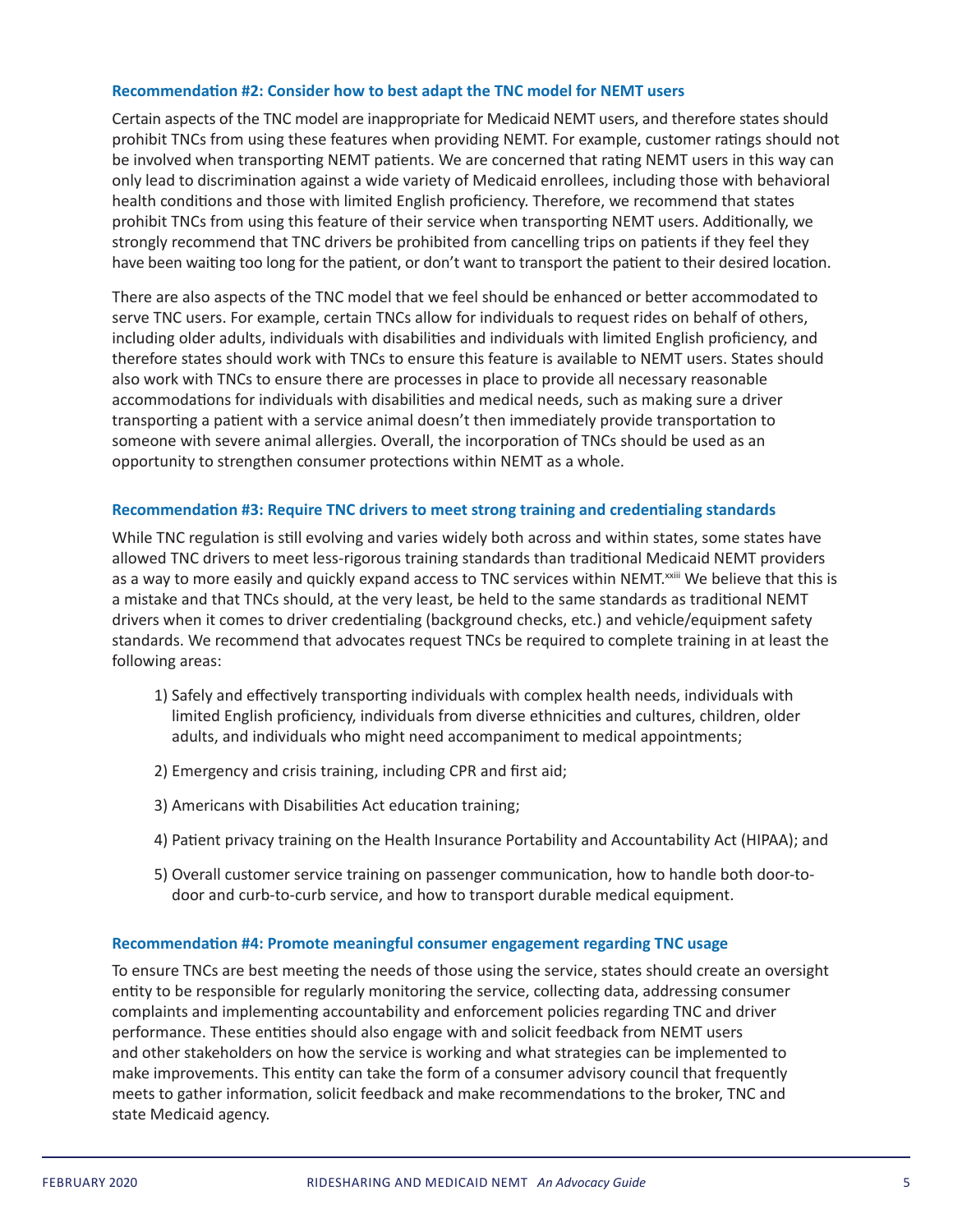#### **Recommendation #2: Consider how to best adapt the TNC model for NEMT users**

Certain aspects of the TNC model are inappropriate for Medicaid NEMT users, and therefore states should prohibit TNCs from using these features when providing NEMT. For example, customer ratings should not be involved when transporting NEMT patients. We are concerned that rating NEMT users in this way can only lead to discrimination against a wide variety of Medicaid enrollees, including those with behavioral health conditions and those with limited English proficiency. Therefore, we recommend that states prohibit TNCs from using this feature of their service when transporting NEMT users. Additionally, we strongly recommend that TNC drivers be prohibited from cancelling trips on patients if they feel they have been waiting too long for the patient, or don't want to transport the patient to their desired location.

There are also aspects of the TNC model that we feel should be enhanced or better accommodated to serve TNC users. For example, certain TNCs allow for individuals to request rides on behalf of others, including older adults, individuals with disabilities and individuals with limited English proficiency, and therefore states should work with TNCs to ensure this feature is available to NEMT users. States should also work with TNCs to ensure there are processes in place to provide all necessary reasonable accommodations for individuals with disabilities and medical needs, such as making sure a driver transporting a patient with a service animal doesn't then immediately provide transportation to someone with severe animal allergies. Overall, the incorporation of TNCs should be used as an opportunity to strengthen consumer protections within NEMT as a whole.

#### **Recommendation #3: Require TNC drivers to meet strong training and credentialing standards**

While TNC regulation is still evolving and varies widely both across and within states, some states have allowed TNC drivers to meet less-rigorous training standards than traditional Medicaid NEMT providers as a way to more easily and quickly expand access to TNC services within NEMT.<sup>xxiii</sup> We believe that this is a mistake and that TNCs should, at the very least, be held to the same standards as traditional NEMT drivers when it comes to driver credentialing (background checks, etc.) and vehicle/equipment safety standards. We recommend that advocates request TNCs be required to complete training in at least the following areas:

- 1) Safely and effectively transporting individuals with complex health needs, individuals with limited English proficiency, individuals from diverse ethnicities and cultures, children, older adults, and individuals who might need accompaniment to medical appointments;
- 2) Emergency and crisis training, including CPR and first aid;
- 3) Americans with Disabilities Act education training;
- 4) Patient privacy training on the Health Insurance Portability and Accountability Act (HIPAA); and
- 5) Overall customer service training on passenger communication, how to handle both door-todoor and curb-to-curb service, and how to transport durable medical equipment.

#### **Recommendation #4: Promote meaningful consumer engagement regarding TNC usage**

To ensure TNCs are best meeting the needs of those using the service, states should create an oversight entity to be responsible for regularly monitoring the service, collecting data, addressing consumer complaints and implementing accountability and enforcement policies regarding TNC and driver performance. These entities should also engage with and solicit feedback from NEMT users and other stakeholders on how the service is working and what strategies can be implemented to make improvements. This entity can take the form of a consumer advisory council that frequently meets to gather information, solicit feedback and make recommendations to the broker, TNC and state Medicaid agency.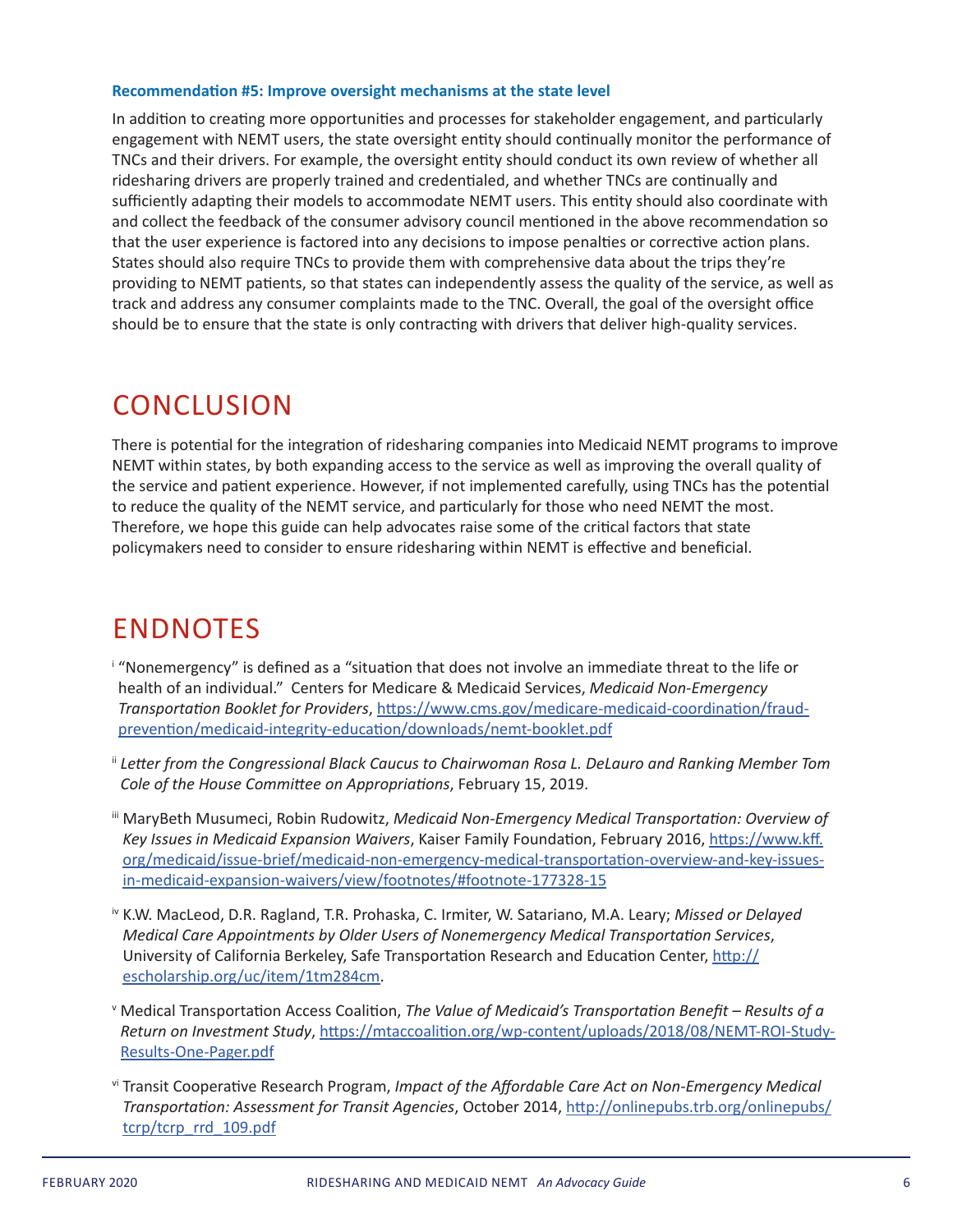#### **Recommendation #5: Improve oversight mechanisms at the state level**

In addition to creating more opportunities and processes for stakeholder engagement, and particularly engagement with NEMT users, the state oversight entity should continually monitor the performance of TNCs and their drivers. For example, the oversight entity should conduct its own review of whether all ridesharing drivers are properly trained and credentialed, and whether TNCs are continually and sufficiently adapting their models to accommodate NEMT users. This entity should also coordinate with and collect the feedback of the consumer advisory council mentioned in the above recommendation so that the user experience is factored into any decisions to impose penalties or corrective action plans. States should also require TNCs to provide them with comprehensive data about the trips they're providing to NEMT patients, so that states can independently assess the quality of the service, as well as track and address any consumer complaints made to the TNC. Overall, the goal of the oversight office should be to ensure that the state is only contracting with drivers that deliver high-quality services.

### **CONCLUSION**

There is potential for the integration of ridesharing companies into Medicaid NEMT programs to improve NEMT within states, by both expanding access to the service as well as improving the overall quality of the service and patient experience. However, if not implemented carefully, using TNCs has the potential to reduce the quality of the NEMT service, and particularly for those who need NEMT the most. Therefore, we hope this guide can help advocates raise some of the critical factors that state policymakers need to consider to ensure ridesharing within NEMT is effective and beneficial.

### ENDNOTES

- <sup>i</sup> "Nonemergency" is defined as a "situation that does not involve an immediate threat to the life or health of an individual." Centers for Medicare & Medicaid Services, *Medicaid Non-Emergency Transportation Booklet for Providers*, [https://www.cms.gov/medicare-medicaid-coordination/fraud](https://www.cms.gov/medicare-medicaid-coordination/fraud-prevention/medicaid-integrity-education/downloads/nemt-booklet.pdf)[prevention/medicaid-integrity-education/downloads/nemt-booklet.pdf](https://www.cms.gov/medicare-medicaid-coordination/fraud-prevention/medicaid-integrity-education/downloads/nemt-booklet.pdf)
- ii *Letter from the Congressional Black Caucus to Chairwoman Rosa L. DeLauro and Ranking Member Tom Cole of the House Committee on Appropriations*, February 15, 2019.
- iii MaryBeth Musumeci, Robin Rudowitz, *Medicaid Non-Emergency Medical Transportation: Overview of Key Issues in Medicaid Expansion Waivers*, Kaiser Family Foundation, February 2016, [https://www.kff.](https://www.kff.org/medicaid/issue-brief/medicaid-non-emergency-medical-transportation-overview-and-key-issues-in-medicaid-expansion-waivers/view/footnotes/#footnote-177328-15) [org/medicaid/issue-brief/medicaid-non-emergency-medical-transportation-overview-and-key-issues](https://www.kff.org/medicaid/issue-brief/medicaid-non-emergency-medical-transportation-overview-and-key-issues-in-medicaid-expansion-waivers/view/footnotes/#footnote-177328-15)[in-medicaid-expansion-waivers/view/footnotes/#footnote-177328-15](https://www.kff.org/medicaid/issue-brief/medicaid-non-emergency-medical-transportation-overview-and-key-issues-in-medicaid-expansion-waivers/view/footnotes/#footnote-177328-15)
- iv K.W. MacLeod, D.R. Ragland, T.R. Prohaska, C. Irmiter, W. Satariano, M.A. Leary; *Missed or Delayed Medical Care Appointments by Older Users of Nonemergency Medical Transportation Services*, University of California Berkeley, Safe Transportation Research and Education Center, [http://](http://escholarship.org/uc/item/1tm284cm) [escholarship.org/uc/item/1tm284cm](http://escholarship.org/uc/item/1tm284cm).
- <sup>v</sup> Medical Transportation Access Coalition, *The Value of Medicaid's Transportation Benefit Results of a Return on Investment Study*, [https://mtaccoalition.org/wp-content/uploads/2018/08/NEMT-ROI-Study-](https://mtaccoalition.org/wp-content/uploads/2018/08/NEMT-ROI-Study-Results-One-Pager.pdf)[Results-One-Pager.pdf](https://mtaccoalition.org/wp-content/uploads/2018/08/NEMT-ROI-Study-Results-One-Pager.pdf)
- vi Transit Cooperative Research Program, *Impact of the Affordable Care Act on Non-Emergency Medical Transportation: Assessment for Transit Agencies*, October 2014, [http://onlinepubs.trb.org/onlinepubs/](http://onlinepubs.trb.org/onlinepubs/tcrp/tcrp_rrd_109.pdf) [tcrp/tcrp\\_rrd\\_109.pdf](http://onlinepubs.trb.org/onlinepubs/tcrp/tcrp_rrd_109.pdf)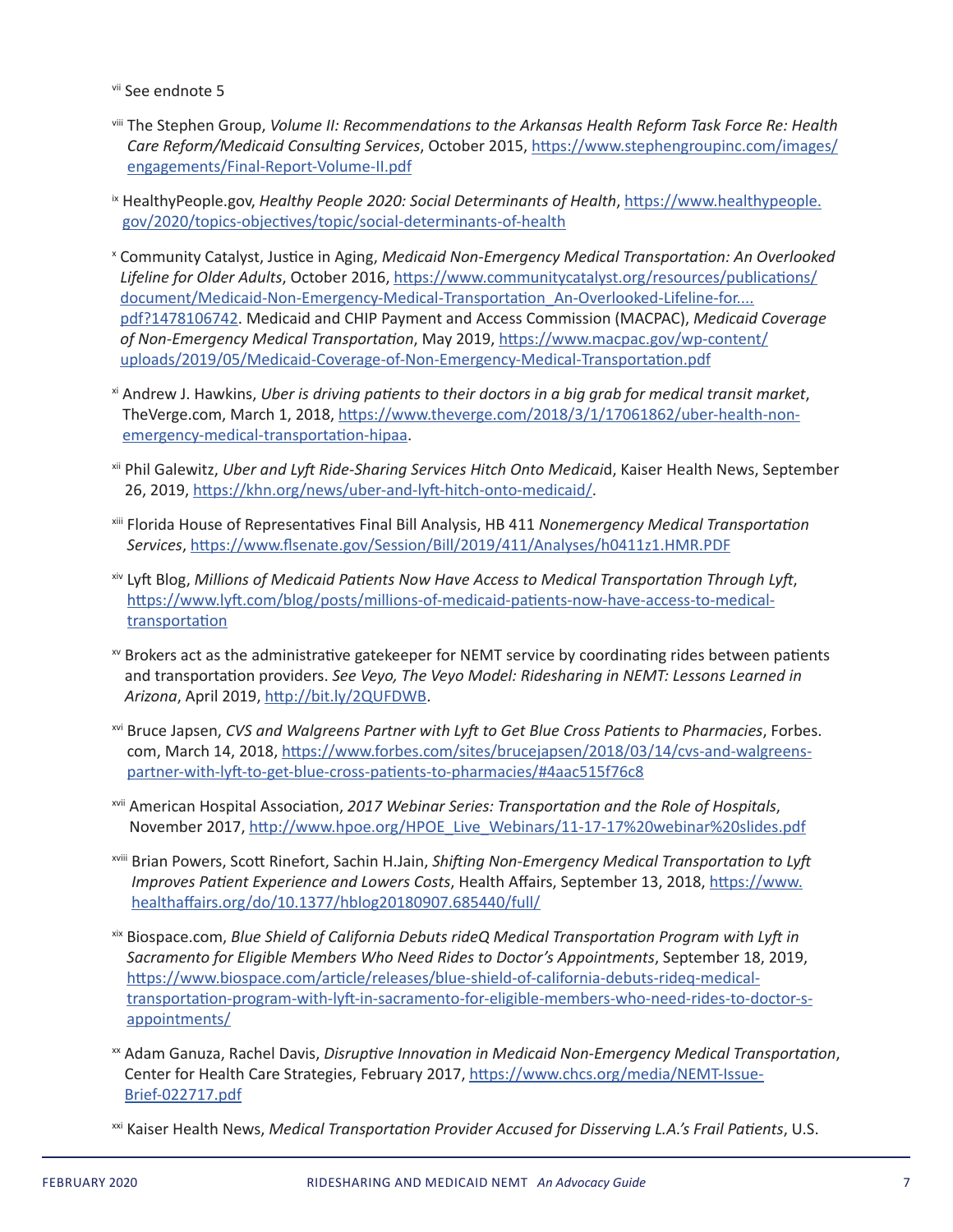vii See endnote 5

- viii The Stephen Group, *Volume II: Recommendations to the Arkansas Health Reform Task Force Re: Health Care Reform/Medicaid Consulting Services*, October 2015, [https://www.stephengroupinc.com/images/](https://www.stephengroupinc.com/images/engagements/Final-Report-Volume-II.pdf) [engagements/Final-Report-Volume-II.pdf](https://www.stephengroupinc.com/images/engagements/Final-Report-Volume-II.pdf)
- ix HealthyPeople.gov, *Healthy People 2020: Social Determinants of Health*, [https://www.healthypeople.](https://www.healthypeople.gov/2020/topics-objectives/topic/social-determinants-of-health) [gov/2020/topics-objectives/topic/social-determinants-of-health](https://www.healthypeople.gov/2020/topics-objectives/topic/social-determinants-of-health)
- <sup>x</sup> Community Catalyst, Justice in Aging, *Medicaid Non-Emergency Medical Transportation: An Overlooked Lifeline for Older Adults*, October 2016, [https://www.communitycatalyst.org/resources/publications/](https://www.communitycatalyst.org/resources/publications/document/Medicaid-Non-Emergency-Medical-Transportation_An-Overlooked-Lifeline-for....pdf?1478106742) [document/Medicaid-Non-Emergency-Medical-Transportation\\_An-Overlooked-Lifeline-for....](https://www.communitycatalyst.org/resources/publications/document/Medicaid-Non-Emergency-Medical-Transportation_An-Overlooked-Lifeline-for....pdf?1478106742) [pdf?1478106742](https://www.communitycatalyst.org/resources/publications/document/Medicaid-Non-Emergency-Medical-Transportation_An-Overlooked-Lifeline-for....pdf?1478106742). Medicaid and CHIP Payment and Access Commission (MACPAC), *Medicaid Coverage of Non-Emergency Medical Transportation*, May 2019, [https://www.macpac.gov/wp-content/](https://www.macpac.gov/wp-content/uploads/2019/05/Medicaid-Coverage-of-Non-Emergency-Medical-Transportation.pdf) [uploads/2019/05/Medicaid-Coverage-of-Non-Emergency-Medical-Transportation.pdf](https://www.macpac.gov/wp-content/uploads/2019/05/Medicaid-Coverage-of-Non-Emergency-Medical-Transportation.pdf)
- xi Andrew J. Hawkins, *Uber is driving patients to their doctors in a big grab for medical transit market*, TheVerge.com, March 1, 2018, [https://www.theverge.com/2018/3/1/17061862/uber-health-non](https://www.theverge.com/2018/3/1/17061862/uber-health-non-emergency-medical-transportation-hipaa)[emergency-medical-transportation-hipaa](https://www.theverge.com/2018/3/1/17061862/uber-health-non-emergency-medical-transportation-hipaa).
- xii Phil Galewitz, *Uber and Lyft Ride-Sharing Services Hitch Onto Medicai*d, Kaiser Health News, September 26, 2019,<https://khn.org/news/uber-and-lyft-hitch-onto-medicaid/>.
- xiii Florida House of Representatives Final Bill Analysis, HB 411 *Nonemergency Medical Transportation Services*, <https://www.flsenate.gov/Session/Bill/2019/411/Analyses/h0411z1.HMR.PDF>
- xiv Lyft Blog, *Millions of Medicaid Patients Now Have Access to Medical Transportation Through Lyft*, https://www.lyft.com/blog/posts/millions-of-medicaid-patients-now-have-access-to-medicaltransportation
- $\frac{1}{2}$  Brokers act as the administrative gatekeeper for NEMT service by coordinating rides between patients and transportation providers. *See Veyo, The Veyo Model: Ridesharing in NEMT: Lessons Learned in Arizona*, April 2019,<http://bit.ly/2QUFDWB>.
- xvi Bruce Japsen, *CVS and Walgreens Partner with Lyft to Get Blue Cross Patients to Pharmacies*, Forbes. com, March 14, 2018, [https://www.forbes.com/sites/brucejapsen/2018/03/14/cvs-and-walgreens](https://www.forbes.com/sites/brucejapsen/2018/03/14/cvs-and-walgreens-partner-with-lyft-to-get-blue-cross-patients-to-pharmacies/#4aac515f76c8)[partner-with-lyft-to-get-blue-cross-patients-to-pharmacies/#4aac515f76c8](https://www.forbes.com/sites/brucejapsen/2018/03/14/cvs-and-walgreens-partner-with-lyft-to-get-blue-cross-patients-to-pharmacies/#4aac515f76c8)
- xvii American Hospital Association, *2017 Webinar Series: Transportation and the Role of Hospitals*, November 2017, [http://www.hpoe.org/HPOE\\_Live\\_Webinars/11-17-17%20webinar%20slides.pdf](http://www.hpoe.org/HPOE_Live_Webinars/11-17-17%20webinar%20slides.pdf)
- xviii Brian Powers, Scott Rinefort, Sachin H.Jain, *Shifting Non-Emergency Medical Transportation to Lyft Improves Patient Experience and Lowers Costs*, Health Affairs, September 13, 2018, [https://www.](https://www.healthaffairs.org/do/10.1377/hblog20180907.685440/full/) [healthaffairs.org/do/10.1377/hblog20180907.685440/full/](https://www.healthaffairs.org/do/10.1377/hblog20180907.685440/full/)
- xix Biospace.com, *Blue Shield of California Debuts rideQ Medical Transportation Program with Lyft in Sacramento for Eligible Members Who Need Rides to Doctor's Appointments*, September 18, 2019, [https://www.biospace.com/article/releases/blue-shield-of-california-debuts-rideq-medical](https://www.biospace.com/article/releases/blue-shield-of-california-debuts-rideq-medical-transportation-program-with-lyft-in-sacramento-for-eligible-members-who-need-rides-to-doctor-s-appointments/)[transportation-program-with-lyft-in-sacramento-for-eligible-members-who-need-rides-to-doctor-s](https://www.biospace.com/article/releases/blue-shield-of-california-debuts-rideq-medical-transportation-program-with-lyft-in-sacramento-for-eligible-members-who-need-rides-to-doctor-s-appointments/)[appointments/](https://www.biospace.com/article/releases/blue-shield-of-california-debuts-rideq-medical-transportation-program-with-lyft-in-sacramento-for-eligible-members-who-need-rides-to-doctor-s-appointments/)
- xx Adam Ganuza, Rachel Davis, *Disruptive Innovation in Medicaid Non-Emergency Medical Transportation*, Center for Health Care Strategies, February 2017, [https://www.chcs.org/media/NEMT-Issue-](https://www.chcs.org/media/NEMT-Issue-Brief-022717.pdf)[Brief-022717.pdf](https://www.chcs.org/media/NEMT-Issue-Brief-022717.pdf)
- xxi Kaiser Health News, *Medical Transportation Provider Accused for Disserving L.A.'s Frail Patients*, U.S.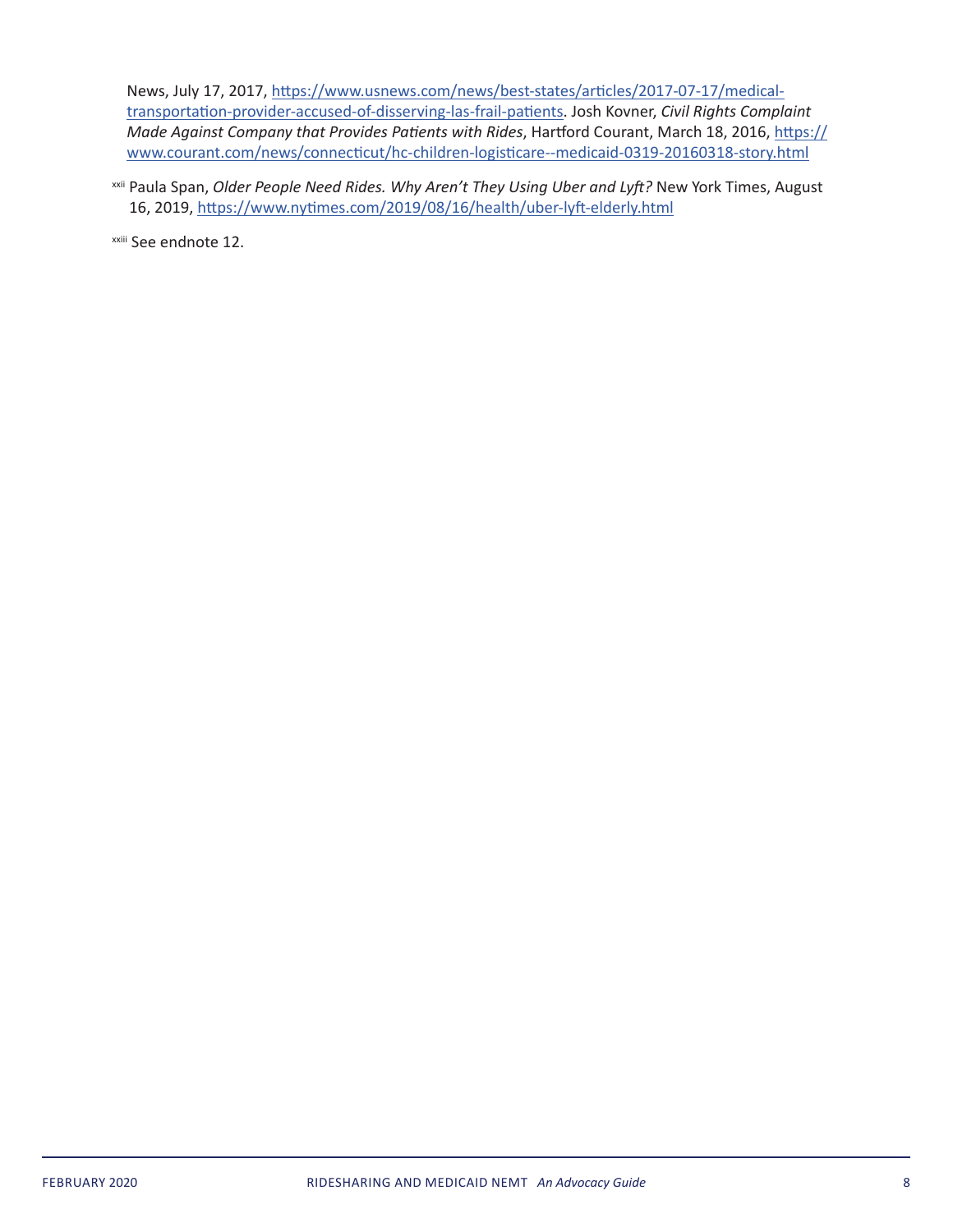News, July 17, 2017, [https://www.usnews.com/news/best-states/articles/2017-07-17/medical](https://www.usnews.com/news/best-states/articles/2017-07-17/medical-transportation-provider-accused-of-disserving-las-frail-patients)[transportation-provider-accused-of-disserving-las-frail-patients](https://www.usnews.com/news/best-states/articles/2017-07-17/medical-transportation-provider-accused-of-disserving-las-frail-patients). Josh Kovner, *Civil Rights Complaint Made Against Company that Provides Patients with Rides*, Hartford Courant, March 18, 2016, [https://](https://www.courant.com/news/connecticut/hc-children-logisticare--medicaid-0319-20160318-story.html) [www.courant.com/news/connecticut/hc-children-logisticare--medicaid-0319-20160318-story.html](https://www.courant.com/news/connecticut/hc-children-logisticare--medicaid-0319-20160318-story.html)

xxii Paula Span, *Older People Need Rides. Why Aren't They Using Uber and Lyft?* New York Times, August 16, 2019, <https://www.nytimes.com/2019/08/16/health/uber-lyft-elderly.html>

xxiii See endnote 12.